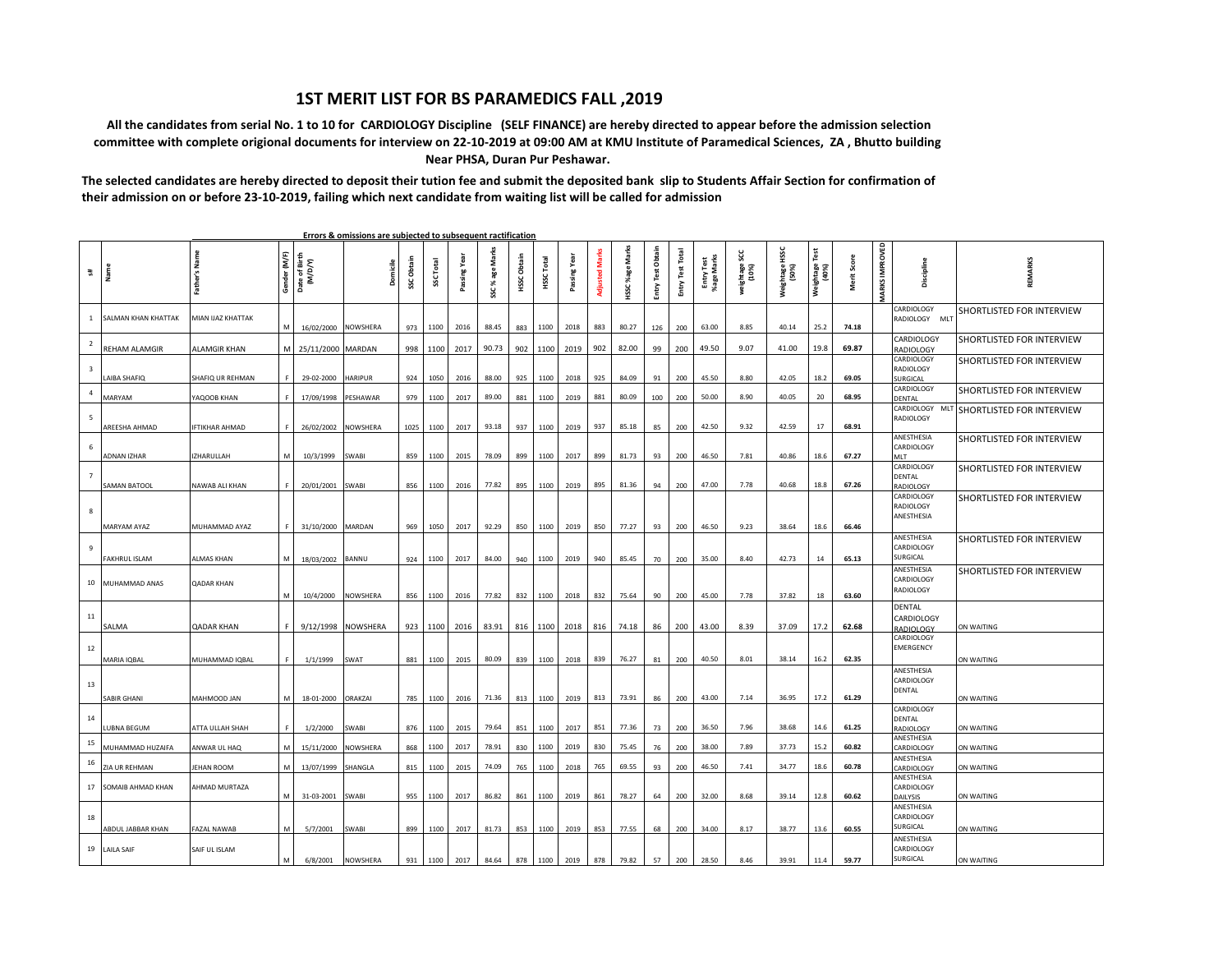## **1ST MERIT LIST FOR BS PARAMEDICS FALL ,2019**

 **All the candidates from serial No. 1 to 10 for CARDIOLOGY Discipline (SELF FINANCE) are hereby directed to appear before the admission selection committee with complete origional documents for interview on 22-10-2019 at 09:00 AM at KMU Institute of Paramedical Sciences, ZA , Bhutto building Near PHSA, Duran Pur Peshawar.**

**The selected candidates are hereby directed to deposit their tution fee and submit the deposited bank slip to Students Affair Section for confirmation of their admission on or before 23-10-2019, failing which next candidate from waiting list will be called for admission**

| 翡                       | Name                 | Father's Name      | Gender (M/F) | Date of Birth<br>(M/D/Y) | Domicile        | SSC Obtain | SSC Total | Passing Yea | g<br>age<br>৯ৎ<br>š | HSSC Obtain | <b>HSSCTotal</b> | ng Year<br>Passi |     | ទឹ<br>HSSC%age | Entry Test Obtain | Total<br>Entry Test | Entry Test<br>%age Marks | ម្ល<br>weightage<br>(10%) | HSSC<br>Weightage<br>(50%) | Test<br>Weightage<br>(40%) | Merit Score | MARKS IMPROVED | Discipline                            | REMARKS                   |
|-------------------------|----------------------|--------------------|--------------|--------------------------|-----------------|------------|-----------|-------------|---------------------|-------------|------------------|------------------|-----|----------------|-------------------|---------------------|--------------------------|---------------------------|----------------------------|----------------------------|-------------|----------------|---------------------------------------|---------------------------|
| $\mathbf{1}$            | SALMAN KHAN KHATTAK  | MIAN IJAZ KHATTAK  |              | 16/02/2000               | NOWSHERA        |            | 973 1100  | 2016        | 88.45               | 883         | 1100             | 2018             | 883 | 80.27          | 126               | 200                 | 63.00                    | 8.85                      | 40.14                      | 25.2                       | 74.18       |                | CARDIOLOGY<br>RADIOLOGY MLT           | SHORTLISTED FOR INTERVIEW |
| $\overline{2}$          | REHAM ALAMGIR        | ALAMGIR KHAN       | м            | 25/11/2000 MARDAN        |                 |            | 998 1100  | 2017        | 90.73               | 902         | 1100             | 2019             | 902 | 82.00          | 99                | 200                 | 49.50                    | 9.07                      | 41.00                      | 19.8                       | 69.87       |                | CARDIOLOGY<br>RADIOLOGY               | SHORTLISTED FOR INTERVIEW |
| $\overline{\mathbf{3}}$ |                      |                    |              |                          |                 |            |           |             |                     |             |                  |                  |     |                |                   |                     |                          |                           |                            |                            |             |                | CARDIOLOGY<br>RADIOLOGY               | SHORTLISTED FOR INTERVIEW |
| $\overline{4}$          | AIBA SHAFIQ          | SHAFIQ UR REHMAN   |              | 29-02-2000               | <b>HARIPUR</b>  | 924        | 1050      | 2016        | 88.00               | 925         | 1100             | 2018             | 925 | 84.09          | 91                | 200                 | 45.50                    | 8.80                      | 42.05                      | 18.2                       | 69.05       |                | <b>URGICAL</b><br>CARDIOLOGY          | SHORTLISTED FOR INTERVIEW |
|                         | MARYAM               | <b>AQOOB KHAN</b>  |              | 17/09/1998               | PESHAWAR        | 979        | 1100      | 2017        | 89.00               | 881         | 1100             | 2019             | 881 | 80.09          | 100               | 200                 | 50.00                    | 8.90                      | 40.05                      | 20                         | 68.95       |                | <b>ENTAL</b><br>CARDIOLOGY<br>ML      | SHORTLISTED FOR INTERVIEW |
| 5                       | AREESHA AHMAD        | IFTIKHAR AHMAD     |              | 26/02/2002               | NOWSHERA        |            | 1025 1100 | 2017        | 93.18               | 937         | 1100             | 2019             | 937 | 85.18          | 85                | 200                 | 42.50                    | 9.32                      | 42.59                      | 17                         | 68.91       |                | RADIOLOGY                             |                           |
| $\,$ 6                  |                      |                    |              |                          |                 |            |           |             |                     |             |                  |                  |     |                |                   |                     |                          |                           |                            |                            |             |                | ANESTHESIA<br>CARDIOLOGY              | SHORTLISTED FOR INTERVIEW |
|                         | ADNAN IZHAR          | IZHARULLAH         |              | 10/3/1999                | SWABI           | 859        | 1100      | 2015        | 78.09               | 899         | 1100             | 2017             | 899 | 81.73          | 93                | 200                 | 46.50                    | 7.81                      | 40.86                      | 18.6                       | 67.27       |                | VII T<br>CARDIOLOGY                   | SHORTLISTED FOR INTERVIEW |
| $\overline{7}$          | <b>SAMAN BATOOL</b>  | NAWAB ALI KHAN     |              | 20/01/2001               | <b>SWABI</b>    |            | 856 1100  | 2016        | 77.82               | 895         | 1100             | 2019             | 895 | 81.36          | 94                | 200                 | 47.00                    | 7.78                      | 40.68                      | 18.8                       | 67.26       |                | DENTAL<br>RADIOLOGY                   |                           |
| 8                       |                      |                    |              |                          |                 |            |           |             |                     |             |                  |                  |     |                |                   |                     |                          |                           |                            |                            |             |                | CARDIOLOGY<br>RADIOLOGY<br>ANESTHESIA | SHORTLISTED FOR INTERVIEW |
|                         | MARYAM AYAZ          | MUHAMMAD AYAZ      |              | 31/10/2000               | MARDAN          |            | 969 1050  | 2017        | 92.29               | 850         | 1100             | 2019             | 850 | 77.27          | 93                | 200                 | 46.50                    | 9.23                      | 38.64                      | 18.6                       | 66.46       |                | ANESTHESIA                            | SHORTLISTED FOR INTERVIEW |
| 9                       | FAKHRUL ISLAM        | ALMAS KHAN         | M            | 18/03/2002               | BANNU           |            | 924 1100  | 2017        | 84.00               | 940         | 1100             | 2019             | 940 | 85.45          | 70                | 200                 | 35.00                    | 8.40                      | 42.73                      | 14                         | 65.13       |                | CARDIOLOGY<br>SURGICAL                |                           |
|                         | 10 MUHAMMAD ANAS     | QADAR KHAN         |              |                          |                 |            |           |             |                     |             |                  |                  |     |                |                   |                     |                          |                           |                            |                            |             |                | ANESTHESIA<br>CARDIOLOGY<br>RADIOLOGY | SHORTLISTED FOR INTERVIEW |
|                         |                      |                    | M            | 10/4/2000                | NOWSHERA        |            | 856 1100  | 2016        | 77.82               | 832         | 1100             | 2018             | 832 | 75.64          | 90                | 200                 | 45.00                    | 7.78                      | 37.82                      | 18                         | 63.60       |                | DENTAL                                |                           |
| 11                      | SALMA                | QADAR KHAN         | F            | 9/12/1998                | <b>NOWSHERA</b> |            | 923 1100  | 2016        | 83.91               | 816         |                  | 1100 2018 816    |     | 74.18          | 86                | 200                 | 43.00                    | 8.39                      | 37.09                      | 17.2                       | 62.68       |                | CARDIOLOGY<br>RADIOLOGY               | ON WAITING                |
| 12                      | MARIA IQBAL          | MUHAMMAD IQBAL     |              | 1/1/1999                 | SWAT            |            | 881 1100  | 2015        | 80.09               | 839         | 1100             | 2018             | 839 | 76.27          | 81                | 200                 | 40.50                    | 8.01                      | 38.14                      | 16.2                       | 62.35       |                | CARDIOLOGY<br><b>EMERGENCY</b>        | ON WAITING                |
|                         |                      |                    |              |                          |                 |            |           |             |                     |             |                  |                  |     |                |                   |                     |                          |                           |                            |                            |             |                | ANESTHESIA<br>CARDIOLOGY              |                           |
| 13                      | <b>SABIR GHANI</b>   | <b>MAHMOOD JAN</b> | M            | 18-01-2000               | ORAKZAI         |            | 785 1100  | 2016        | 71.36               | 813         | 1100             | 2019             | 813 | 73.91          | 86                | 200                 | 43.00                    | 7.14                      | 36.95                      | 17.2                       | 61.29       |                | DENTAL                                | ON WAITING                |
| 14                      |                      |                    |              |                          |                 |            |           |             |                     |             |                  |                  |     |                |                   |                     |                          |                           |                            |                            |             |                | CARDIOLOGY<br>DENTAL                  |                           |
|                         | UBNA BEGUM           | ATTA ULLAH SHAH    |              | 1/2/2000                 | SWABI           | 876        | 1100      | 2015        | 79.64               | 851         | 1100             | 2017             | 851 | 77.36          | 73                | 200                 | 36.50                    | 7.96                      | 38.68                      | 14.6                       | 61.25       |                | RADIOLOGY<br>ANESTHESIA               | ON WAITING                |
| 15                      | MUHAMMAD HUZAIFA     | ANWAR UL HAQ       | M            | 15/11/2000               | NOWSHERA        | 868        | 1100      | 2017        | 78.91               | 830         | 1100             | 2019             | 830 | 75.45          | 76                | 200                 | 38.00                    | 7.89                      | 37.73                      | 15.2                       | 60.82       |                | CARDIOLOGY<br>ANESTHESIA              | ON WAITING                |
| $16\,$                  | ZIA UR REHMAN        | JEHAN ROOM         |              | 13/07/1999               | SHANGLA         | 815        | 1100      | 2015        | 74.09               | 765         | 1100             | 2018             | 765 | 69.55          | 93                | 200                 | 46.50                    | 7.41                      | 34.77                      | 18.6                       | 60.78       |                | <b>ARDIOLOGY</b><br>ANESTHESIA        | ON WAITING                |
|                         | 17 SOMAIB AHMAD KHAN | AHMAD MURTAZA      | M            | 31-03-2001               | SWABI           |            | 955 1100  | 2017        | 86.82               | 861         | 1100             | 2019             | 861 | 78.27          | 64                | 200                 | 32.00                    | 8.68                      | 39.14                      | 12.8                       | 60.62       |                | CARDIOLOGY<br><b>DAILYSIS</b>         | ON WAITING                |
| 18                      |                      |                    |              |                          |                 |            |           |             |                     |             |                  |                  |     |                |                   |                     |                          |                           |                            |                            |             |                | ANESTHESIA<br>CARDIOLOGY              |                           |
|                         | ABDUL JABBAR KHAN    | AZAL NAWAB         | м            | 5/7/2001                 | SWABI           |            | 899 1100  | 2017        | 81.73               | 853         | 1100             | 2019             | 853 | 77.55          | 68                | 200                 | 34.00                    | 8.17                      | 38.77                      | 13.6                       | 60.55       |                | SURGICAL<br>ANESTHESIA                | ON WAITING                |
|                         | 19 LAILA SAIF        | SAIF UL ISLAM      |              | 6/8/2001                 |                 |            | 931 1100  | 2017        | 84.64               | 878         | 1100             | 2019             | 878 | 79.82          | 57                | 200                 | 28.50                    |                           |                            |                            | 59.77       |                | CARDIOLOGY<br>SURGICAL                |                           |
|                         |                      |                    |              |                          | <b>NOWSHERA</b> |            |           |             |                     |             |                  |                  |     |                |                   |                     |                          | 8.46                      | 39.91                      | 11.4                       |             |                |                                       | ON WAITING                |

 **Errors & omissions are subjected to subsequent ractification**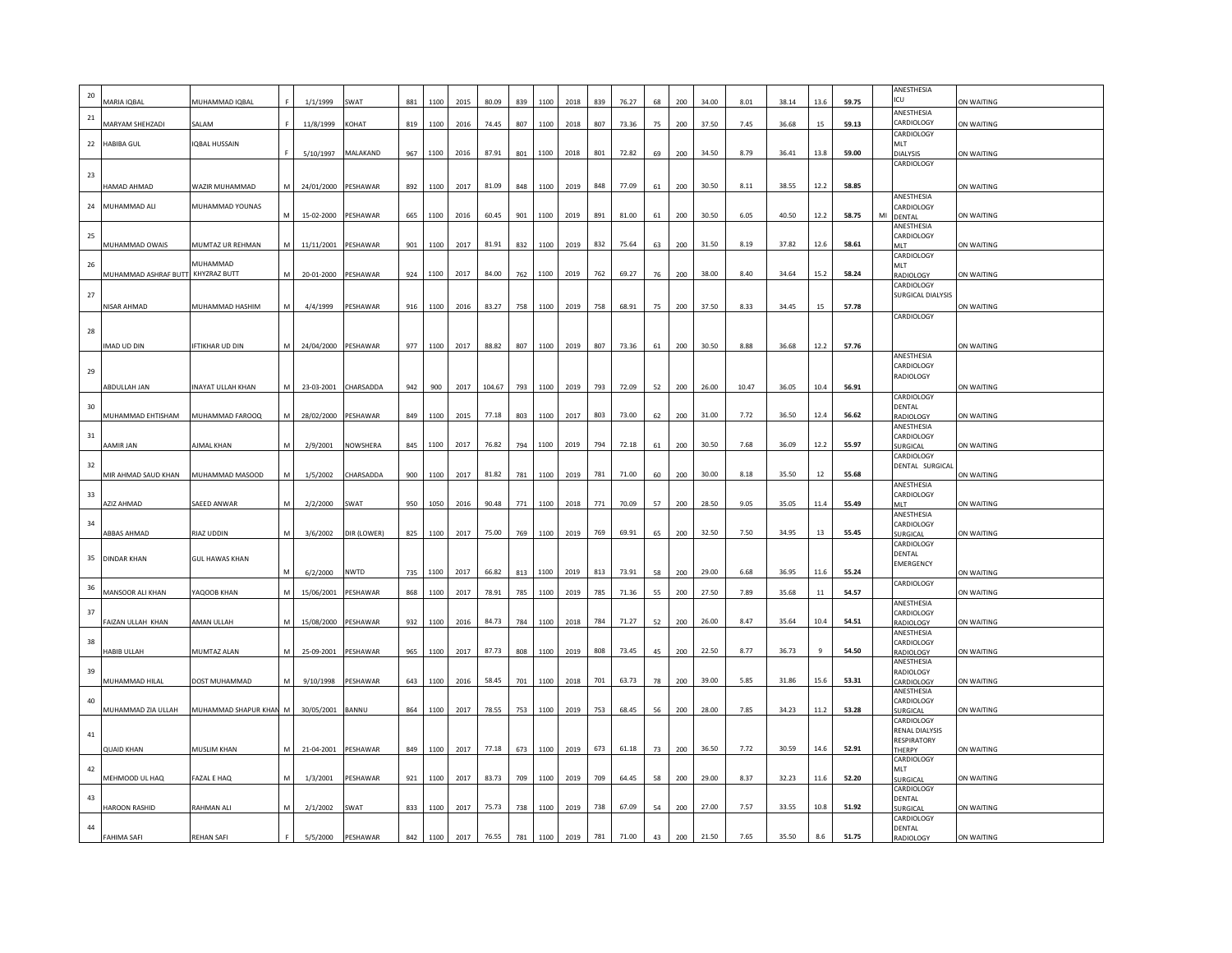| $20\,$ | <b>AARIA IQBAL</b>                | MUHAMMAD IQBAL         |   | 1/1/1999            | SWAT                 | 881 | 1100 | 2015 | 80.09  | 839 | 1100 | 2018 | 839 | 76.27 | 68 | 200 | 34.00 | 8.01  | 38.14 | 13.6   | 59.75 |    | ANESTHESIA<br><b>CU</b>       | ON WAITING        |
|--------|-----------------------------------|------------------------|---|---------------------|----------------------|-----|------|------|--------|-----|------|------|-----|-------|----|-----|-------|-------|-------|--------|-------|----|-------------------------------|-------------------|
| 21     |                                   |                        |   |                     |                      |     |      |      |        |     |      |      |     |       |    |     |       |       |       |        |       |    | ANESTHESIA                    |                   |
|        | MARYAM SHEHZADI                   | SALAM                  |   | 11/8/1999 KOHAT     |                      | 819 | 1100 | 2016 | 74.45  | 807 | 1100 | 2018 | 807 | 73.36 | 75 | 200 | 37.50 | 7.45  | 36.68 | 15     | 59.13 |    | CARDIOLOGY<br>CARDIOLOGY      | ON WAITING        |
| 22     | <b>HABIBA GUL</b>                 | <b>IQBAL HUSSAIN</b>   |   | 5/10/1997           | MALAKAND             | 967 | 1100 | 2016 | 87.91  | 801 | 1100 | 2018 | 801 | 72.82 | 69 | 200 | 34.50 | 8.79  | 36.41 | 13.8   | 59.00 |    | <b>MLT</b><br>DIALYSIS        | ON WAITING        |
|        |                                   |                        |   |                     |                      |     |      |      |        |     |      |      |     |       |    |     |       |       |       |        |       |    | CARDIOLOGY                    |                   |
| 23     | <b>JAMAD AHMAD</b>                | WAZIR MUHAMMAD         |   | 24/01/2000 PESHAWAR |                      | 892 | 1100 | 2017 | 81.09  | 848 | 1100 | 2019 | 848 | 77.09 | 61 | 200 | 30.50 | 8.11  | 38.55 | 12.2   | 58.85 |    |                               | ON WAITING        |
| 24     | MUHAMMAD ALI                      | MUHAMMAD YOUNAS        |   |                     |                      |     |      |      |        |     |      |      |     |       |    |     |       |       |       |        |       |    | ANESTHESIA<br>CARDIOLOGY      |                   |
|        |                                   |                        |   | 15-02-2000          | PESHAWAR             | 665 | 1100 | 2016 | 60.45  | 901 | 1100 | 2019 | 891 | 81.00 | 61 | 200 | 30.50 | 6.05  | 40.50 | 12.2   | 58.75 | MI | DENTAL                        | <b>ON WAITING</b> |
| 25     |                                   |                        |   |                     |                      |     |      |      |        |     |      |      |     |       |    |     |       |       |       |        |       |    | ANESTHESIA<br>CARDIOLOGY      |                   |
|        | <b>JUHAMMAD OWAIS</b>             | MUMTAZ UR REHMAN       |   | 11/11/2001 PESHAWAR |                      | 901 | 1100 | 2017 | 81.91  | 832 | 1100 | 2019 | 832 | 75.64 | 63 | 200 | 31.50 | 8.19  | 37.82 | 12.6   | 58.61 |    | <b>AIT</b><br>CARDIOLOGY      | ON WAITING        |
| 26     | MUHAMMAD ASHRAF BUTT KHYZRAZ BUTT | MUHAMMAD               |   | 20-01-2000 PESHAWAR |                      | 924 | 1100 | 2017 | 84.00  | 762 | 1100 | 2019 | 762 | 69.27 | 76 | 200 | 38.00 | 8.40  | 34.64 | 15.2   | 58.24 |    | VII T<br><b>AADIOLOGY</b>     | ON WAITING        |
|        |                                   |                        |   |                     |                      |     |      |      |        |     |      |      |     |       |    |     |       |       |       |        |       |    | CARDIOLOGY                    |                   |
| 27     | NISAR AHMAD                       | MUHAMMAD HASHIM        |   | 4/4/1999            | PESHAWAR             | 916 | 1100 | 2016 | 83.27  | 758 | 1100 | 2019 | 758 | 68.91 | 75 | 200 | 37.50 | 8.33  | 34.45 | 15     | 57.78 |    | SURGICAL DIALYSIS             | ON WAITING        |
|        |                                   |                        |   |                     |                      |     |      |      |        |     |      |      |     |       |    |     |       |       |       |        |       |    | <b>CARDIOLOGY</b>             |                   |
| 28     | MAD UD DIN                        | IFTIKHAR UD DIN        |   | 24/04/2000 PESHAWAR |                      | 977 | 1100 | 2017 | 88.82  | 807 | 1100 | 2019 | 807 | 73.36 | 61 | 200 | 30.50 | 8.88  | 36.68 | 12.2   | 57.76 |    |                               | ON WAITING        |
|        |                                   |                        |   |                     |                      |     |      |      |        |     |      |      |     |       |    |     |       |       |       |        |       |    | ANESTHESIA                    |                   |
| 29     |                                   |                        |   |                     |                      |     |      |      |        |     |      |      |     |       |    |     |       |       |       |        |       |    | CARDIOLOGY<br>RADIOLOGY       |                   |
|        | <b>BDULLAH JAN</b>                | INAYAT ULLAH KHAN      |   |                     | 23-03-2001 CHARSADDA | 942 | 900  | 2017 | 104.67 | 793 | 1100 | 2019 | 793 | 72.09 | 52 | 200 | 26.00 | 10.47 | 36.05 | 10.4   | 56.91 |    | CARDIOLOGY                    | ON WAITING        |
| 30     |                                   |                        |   |                     |                      |     |      |      |        |     |      |      |     |       |    |     |       |       |       |        |       |    | DENTAL                        |                   |
|        | MUHAMMAD EHTISHAM                 | MUHAMMAD FAROOQ        |   | 28/02/2000 PESHAWAR |                      | 849 | 1100 | 2015 | 77.18  | 803 | 1100 | 2017 | 803 | 73.00 | 62 | 200 | 31.00 | 7.72  | 36.50 | 12.4   | 56.62 |    | RADIOLOGY<br>ANESTHESIA       | ON WAITING        |
| 31     | AMIR JAN                          | AJMAL KHAN             |   | 2/9/2001            | <b>NOWSHERA</b>      | 845 | 1100 | 2017 | 76.82  | 794 | 1100 | 2019 | 794 | 72.18 | 61 | 200 | 30.50 | 7.68  | 36.09 | 12.2   | 55.97 |    | CARDIOLOGY<br><b>SURGICAL</b> | ON WAITING        |
| 32     |                                   |                        |   |                     |                      |     |      |      |        |     |      |      |     |       |    |     |       |       |       |        |       |    | CARDIOLOGY<br>DENTAL SURGICAL |                   |
|        | MIR AHMAD SAUD KHAN               | MUHAMMAD MASOOD        |   | 1/5/2002            | CHARSADDA            | 900 | 1100 | 2017 | 81.82  | 781 | 1100 | 2019 | 781 | 71.00 | 60 | 200 | 30.00 | 8.18  | 35.50 | $12\,$ | 55.68 |    |                               | ON WAITING        |
| 33     |                                   |                        |   |                     |                      |     |      |      |        |     |      |      |     |       |    |     |       |       |       |        |       |    | ANESTHESIA<br>CARDIOLOGY      |                   |
|        | ZIZ AHMAD                         | SAEED ANWAR            |   | 2/2/2000            | SWAT                 | 950 | 1050 | 2016 | 90.48  | 771 | 1100 | 2018 | 771 | 70.09 | 57 | 200 | 28.50 | 9.05  | 35.05 | 11.4   | 55.49 |    | <b>MIT</b><br>ANESTHESIA      | ON WAITING        |
| 34     | BBAS AHMAD                        | RIAZ UDDIN             | M | 3/6/2002            | )IR (LOWER)          | 825 | 1100 | 2017 | 75.00  | 769 | 1100 | 2019 | 769 | 69.91 | 65 | 200 | 32.50 | 7.50  | 34.95 | $13\,$ | 55.45 |    | CARDIOLOGY<br>SURGICAL        | ON WAITING        |
|        |                                   |                        |   |                     |                      |     |      |      |        |     |      |      |     |       |    |     |       |       |       |        |       |    | CARDIOLOGY<br><b>DENTAL</b>   |                   |
| 35     | <b>DINDAR KHAN</b>                | <b>GUL HAWAS KHAN</b>  |   |                     |                      |     |      |      |        |     |      |      |     |       |    |     |       |       |       |        |       |    | EMERGENCY                     |                   |
| 36     |                                   |                        |   | 6/2/2000            | NWTD                 | 735 | 1100 | 2017 | 66.82  | 813 | 1100 | 2019 | 813 | 73.91 | 58 | 200 | 29.00 | 6.68  | 36.95 | 11.6   | 55.24 |    | CARDIOLOGY                    | ON WAITING        |
|        | MANSOOR ALI KHAN                  | YAQOOB KHAN            |   | 15/06/2001 PESHAWAR |                      | 868 | 1100 | 2017 | 78.91  | 785 | 1100 | 2019 | 785 | 71.36 | 55 | 200 | 27.50 | 7.89  | 35.68 | 11     | 54.57 |    | ANESTHESIA                    | ON WAITING        |
| 37     | AIZAN ULLAH KHAN                  | AMAN ULLAH             |   | 15/08/2000 PESHAWAR |                      | 932 | 1100 | 2016 | 84.73  | 784 | 1100 | 2018 | 784 | 71.27 | 52 | 200 | 26.00 | 8.47  | 35.64 | 10.4   | 54.51 |    | CARDIOLOGY<br>RADIOLOGY       | ON WAITING        |
|        |                                   |                        |   |                     |                      |     |      |      |        |     |      |      |     |       |    |     |       |       |       |        |       |    | ANESTHESIA                    |                   |
| 38     | ABIB ULLAH                        | MUMTAZ ALAN            |   | 25-09-2001 PESHAWAR |                      | 965 | 1100 | 2017 | 87.73  | 808 | 1100 | 2019 | 808 | 73.45 | 45 | 200 | 22.50 | 8.77  | 36.73 |        | 54.50 |    | CARDIOLOGY<br>ADIOLOGY        | ON WAITING        |
| 39     |                                   |                        |   |                     |                      |     |      |      |        |     |      |      |     |       |    |     |       |       |       |        |       |    | ANESTHESIA<br>RADIOLOGY       |                   |
|        | MUHAMMAD HILAL                    | DOST MUHAMMAD          |   | 9/10/1998           | PESHAWAR             | 643 | 1100 | 2016 | 58.45  | 701 | 1100 | 2018 | 701 | 63.73 | 78 | 200 | 39.00 | 5.85  | 31.86 | 15.6   | 53.31 |    | CARDIOLOGY<br>ANESTHESIA      | ON WAITING        |
| 40     | MUHAMMAD ZIA ULLAH                | MUHAMMAD SHAPUR KHAN M |   | 30/05/2001 BANNU    |                      | 864 | 1100 | 2017 | 78.55  | 753 | 1100 | 2019 | 753 | 68.45 | 56 | 200 | 28.00 | 7.85  | 34.23 | 11.2   | 53.28 |    | CARDIOLOGY<br><b>SURGICAL</b> | ON WAITING        |
|        |                                   |                        |   |                     |                      |     |      |      |        |     |      |      |     |       |    |     |       |       |       |        |       |    | CARDIOLOGY                    |                   |
| 41     |                                   |                        |   |                     |                      |     |      |      |        |     |      |      |     |       |    |     |       |       |       |        |       |    | RENAL DIALYSIS<br>RESPIRATORY |                   |
|        | <b>QUAID KHAN</b>                 | MUSLIM KHAN            |   | 21-04-2001 PESHAWAR |                      | 849 | 1100 | 2017 | 77.18  | 673 | 1100 | 2019 | 673 | 61.18 | 73 | 200 | 36.50 | 7.72  | 30.59 | 14.6   | 52.91 |    | <b>THERPY</b><br>CARDIOLOGY   | ON WAITING        |
| 42     | MEHMOOD UL HAQ                    | FAZAL E HAQ            |   | 1/3/2001            | PESHAWAR             | 921 | 1100 | 2017 | 83.73  | 709 | 1100 | 2019 | 709 | 64.45 | 58 | 200 | 29.00 | 8.37  | 32.23 | 11.6   | 52.20 |    | <b>MLT</b><br>SURGICAL        | ON WAITING        |
|        |                                   |                        |   |                     |                      |     |      |      |        |     |      |      |     |       |    |     |       |       |       |        |       |    | CARDIOLOGY                    |                   |
| 43     | <b>AROON RASHID</b>               | RAHMAN ALI             |   | 2/1/2002            | SWAT                 | 833 | 1100 | 2017 | 75.73  | 738 | 1100 | 2019 | 738 | 67.09 | 54 | 200 | 27.00 | 7.57  | 33.55 | 10.8   | 51.92 |    | DENTAL<br>URGICAL             | ON WAITING        |
| 44     |                                   |                        |   |                     |                      |     |      |      |        |     |      |      |     |       |    |     |       |       |       |        |       |    | CARDIOLOGY<br>DENTAL          |                   |
|        | <b>FAHIMA SAFI</b>                | <b>REHAN SAFI</b>      |   | 5/5/2000            | PESHAWAR             | 842 | 1100 | 2017 | 76.55  | 781 | 1100 | 2019 | 781 | 71.00 | 43 | 200 | 21.50 | 7.65  | 35.50 | 8.6    | 51.75 |    | RADIOLOGY                     | ON WAITING        |